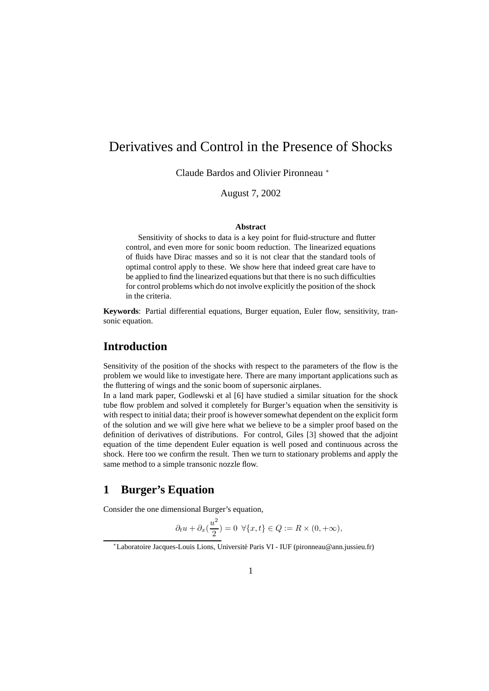# Derivatives and Control in the Presence of Shocks

Claude Bardos and Olivier Pironneau <sup>∗</sup>

## August 7, 2002

#### **Abstract**

Sensitivity of shocks to data is a key point for fluid-structure and flutter control, and even more for sonic boom reduction. The linearized equations of fluids have Dirac masses and so it is not clear that the standard tools of optimal control apply to these. We show here that indeed great care have to be applied to find the linearized equations but that there is no such difficulties for control problems which do not involve explicitly the position of the shock in the criteria.

**Keywords**: Partial differential equations, Burger equation, Euler flow, sensitivity, transonic equation.

## **Introduction**

Sensitivity of the position of the shocks with respect to the parameters of the flow is the problem we would like to investigate here. There are many important applications such as the fluttering of wings and the sonic boom of supersonic airplanes.

In a land mark paper, Godlewski et al [6] have studied a similar situation for the shock tube flow problem and solved it completely for Burger's equation when the sensitivity is with respect to initial data; their proof is howeversomewhat dependent on the explicit form of the solution and we will give here what we believe to be a simpler proof based on the definition of derivatives of distributions. For control, Giles [3] showed that the adjoint equation of the time dependent Euler equation is well posed and continuous across the shock. Here too we confirm the result. Then we turn to stationary problems and apply the same method to a simple transonic nozzle flow.

# **1 Burger's Equation**

Consider the one dimensional Burger's equation,

$$
\partial_t u + \partial_x \left(\frac{u^2}{2}\right) = 0 \ \ \forall \{x, t\} \in Q := R \times (0, +\infty),
$$

<sup>∗</sup>Laboratoire Jacques-Louis Lions, Universite´ Paris VI - IUF (pironneau@ann.jussieu.fr)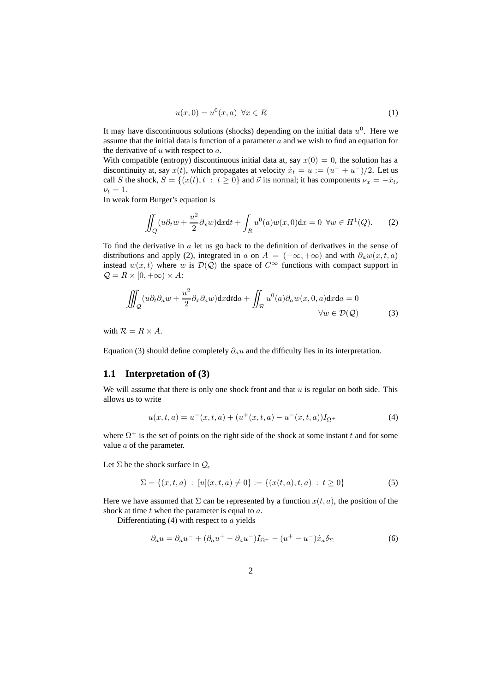$$
u(x,0) = u^0(x,a) \quad \forall x \in R \tag{1}
$$

It may have discontinuous solutions (shocks) depending on the initial data  $u^0$ . Here we assume that the initial data is function of a parameter  $a$  and we wish to find an equation for the derivative of  $u$  with respect to  $a$ .

With compatible (entropy) discontinuous initial data at, say  $x(0) = 0$ , the solution has a discontinuity at, say  $x(t)$ , which propagates at velocity  $\dot{x}_t = \bar{u} := (u^+ + u^-)/2$ . Let us call S the shock,  $S = \{(x(t), t : t \ge 0\}$  and  $\vec{\nu}$  its normal; it has components  $\nu_x = -\dot{x}_t$ ,  $\nu_t = 1.$ 

In weak form Burger's equation is

$$
\iint_Q (u\partial_t w + \frac{u^2}{2}\partial_x w) dx dt + \int_R u^0(a)w(x,0) dx = 0 \ \forall w \in H^1(Q).
$$
 (2)

To find the derivative in  $a$  let us go back to the definition of derivatives in the sense of distributions and apply (2), integrated in a on  $A = (-\infty, +\infty)$  and with  $\partial_a w(x, t, a)$ instead  $w(x,t)$  where w is  $\mathcal{D}(Q)$  the space of  $C^{\infty}$  functions with compact support in  $Q = R \times [0, +\infty) \times A$ :

$$
\iiint_{Q} (u \partial_{t} \partial_{a} w + \frac{u^{2}}{2} \partial_{x} \partial_{a} w) dx dt da + \iint_{R} u^{0}(a) \partial_{a} w(x, 0, a) dx da = 0
$$
  

$$
\forall w \in \mathcal{D}(\mathcal{Q})
$$
 (3)

with  $\mathcal{R} = R \times A$ .

Equation (3) should define completely  $\partial_a u$  and the difficulty lies in its interpretation.

### **1.1 Interpretation of (3)**

We will assume that there is only one shock front and that  $u$  is regular on both side. This allows us to write

$$
u(x,t,a) = u^-(x,t,a) + (u^+(x,t,a) - u^-(x,t,a))I_{\Omega^+}
$$
\n(4)

where  $\Omega^+$  is the set of points on the right side of the shock at some instant t and for some value a of the parameter.

Let  $\Sigma$  be the shock surface in  $\mathcal{Q}$ ,

$$
\Sigma = \{(x, t, a) : [u](x, t, a) \neq 0\} := \{(x(t, a), t, a) : t \ge 0\}
$$
\n(5)

Here we have assumed that  $\Sigma$  can be represented by a function  $x(t, a)$ , the position of the shock at time  $t$  when the parameter is equal to  $a$ .

Differentiating  $(4)$  with respect to a yields

$$
\partial_a u = \partial_a u^- + (\partial_a u^+ - \partial_a u^-) I_{\Omega^+} - (u^+ - u^-) \dot{x}_a \delta_\Sigma \tag{6}
$$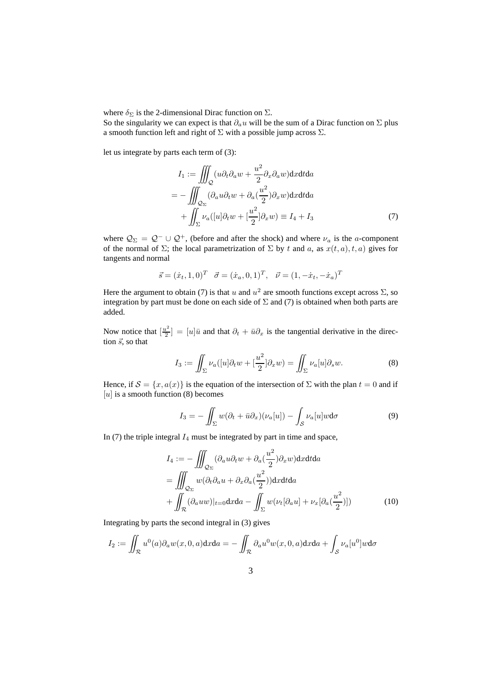where  $\delta_{\Sigma}$  is the 2-dimensional Dirac function on  $\Sigma$ .

So the singularity we can expect is that  $\partial_a u$  will be the sum of a Dirac function on  $\Sigma$  plus a smooth function left and right of  $\Sigma$  with a possible jump across  $\Sigma$ .

let us integrate by parts each term of (3):

$$
I_1 := \iiint_{Q} (u \partial_t \partial_a w + \frac{u^2}{2} \partial_x \partial_a w) dx dt da
$$
  
= 
$$
- \iiint_{Q_{\Sigma}} (\partial_a u \partial_t w + \partial_a (\frac{u^2}{2}) \partial_x w) dx dt da
$$
  
+ 
$$
\int_{\Sigma} \nu_a ([u] \partial_t w + [\frac{u^2}{2}] \partial_x w) \equiv I_4 + I_3
$$
 (7)

where  $\mathcal{Q}_{\Sigma} = \mathcal{Q}^- \cup \mathcal{Q}^+$ , (before and after the shock) and where  $\nu_a$  is the a-component of the normal of  $\Sigma$ ; the local parametrization of  $\Sigma$  by t and a, as  $x(t, a), t, a$ ) gives for tangents and normal

$$
\vec{s} = (\dot{x}_t, 1, 0)^T \quad \vec{\sigma} = (\dot{x}_a, 0, 1)^T, \quad \vec{\nu} = (1, -\dot{x}_t, -\dot{x}_a)^T
$$

Here the argument to obtain (7) is that u and  $u^2$  are smooth functions except across  $\Sigma$ , so integration by part must be done on each side of  $\Sigma$  and (7) is obtained when both parts are added.

Now notice that  $\left[\frac{u^2}{2}\right]$  $\left[\frac{u^2}{2}\right] = [u]\bar{u}$  and that  $\partial_t + \bar{u}\partial_x$  is the tangential derivative in the direction  $\vec{s}$ , so that

$$
I_3 := \iint_{\Sigma} \nu_a([u]\partial_t w + \left[\frac{u^2}{2}\right]\partial_x w) = \iint_{\Sigma} \nu_a[u]\partial_s w.
$$
 (8)

Hence, if  $S = \{x, a(x)\}\$ is the equation of the intersection of  $\Sigma$  with the plan  $t = 0$  and if  $[u]$  is a smooth function (8) becomes

$$
I_3 = -\iint_{\Sigma} w(\partial_t + \bar{u}\partial_x)(\nu_a[u]) - \int_{\mathcal{S}} \nu_a[u]w \mathrm{d}\sigma \tag{9}
$$

In  $(7)$  the triple integral  $I_4$  must be integrated by part in time and space,

$$
I_4 := -\iiint_{\mathcal{Q}_{\Sigma}} (\partial_a u \partial_t w + \partial_a \left(\frac{u^2}{2}\right) \partial_x w) \mathrm{d}x \mathrm{d}t \mathrm{d}a
$$
  
\n
$$
= \iiint_{\mathcal{Q}_{\Sigma}} w(\partial_t \partial_a u + \partial_x \partial_a \left(\frac{u^2}{2}\right)) \mathrm{d}x \mathrm{d}t \mathrm{d}a
$$
  
\n
$$
+ \iint_{\mathcal{R}} (\partial_a u w)|_{t=0} \mathrm{d}x \mathrm{d}a - \iint_{\Sigma} w(\nu_t [\partial_a u] + \nu_x [\partial_a \left(\frac{u^2}{2}\right)]) \qquad (10)
$$

Integrating by parts the second integral in (3) gives

$$
I_2 := \iint_{\mathcal{R}} u^0(a)\partial_a w(x,0,a) \mathrm{d}x \mathrm{d}a = -\iint_{\mathcal{R}} \partial_a u^0 w(x,0,a) \mathrm{d}x \mathrm{d}a + \int_{\mathcal{S}} \nu_a[u^0] w \mathrm{d}\sigma
$$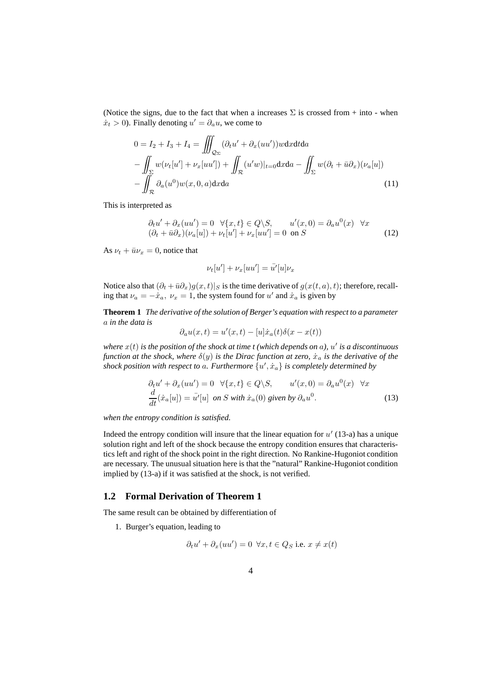(Notice the signs, due to the fact that when a increases  $\Sigma$  is crossed from + into - when  $\dot{x}_t > 0$ ). Finally denoting  $u' = \partial_a u$ , we come to

$$
0 = I_2 + I_3 + I_4 = \iiint_{\mathcal{Q}_{\Sigma}} (\partial_t u' + \partial_x (uu'))w \, dx \, dt \, da
$$

$$
- \iint_{\Sigma} w(\nu_t[u'] + \nu_x[uu']) + \iint_{\mathcal{R}} (u'w)|_{t=0} dx \, da - \iint_{\Sigma} w(\partial_t + \bar{u}\partial_x)(\nu_a[u])
$$

$$
- \iint_{\mathcal{R}} \partial_a(u^0)w(x, 0, a) dx \, da \tag{11}
$$

This is interpreted as

$$
\partial_t u' + \partial_x (uu') = 0 \quad \forall \{x, t\} \in Q \setminus S, \qquad u'(x, 0) = \partial_a u^0(x) \quad \forall x
$$
  

$$
(\partial_t + \bar{u}\partial_x)(\nu_a[u]) + \nu_t[u'] + \nu_x[uu'] = 0 \text{ on } S
$$
 (12)

As  $\nu_t + \bar{u}\nu_x = 0$ , notice that

$$
\nu_t[u'] + \nu_x[uu'] = \bar{u'}[u]\nu_x
$$

Notice also that  $(\partial_t + \bar{u}\partial_x)g(x,t)|_S$  is the time derivative of  $g(x(t, a), t)$ ; therefore, recalling that  $\nu_a = -\dot{x}_a$ ,  $\nu_x = 1$ , the system found for  $u'$  and  $\dot{x}_a$  is given by

**Theorem 1** *The derivative of the solution of Berger's equation with respect to a parameter* a *in the data is*

$$
\partial_a u(x,t) = u'(x,t) - [u]\dot{x}_a(t)\delta(x - x(t))
$$

where  $x(t)$  is the position of the shock at time  $t$  (which depends on  $a$ ),  $u'$  is a discontinuous *function* at the shock, where  $\delta(y)$  is the Dirac function at zero,  $\dot{x}_a$  is the derivative of the *shock position with respect to a. Furthermore*  $\{u', \dot{x}_a\}$  *is completely determined by* 

$$
\partial_t u' + \partial_x (uu') = 0 \quad \forall \{x, t\} \in Q \setminus S, \qquad u'(x, 0) = \partial_a u^0(x) \quad \forall x
$$
  

$$
\frac{d}{dt}(\dot{x}_a[u]) = \bar{u'}[u] \text{ on } S \text{ with } \dot{x}_a(0) \text{ given by } \partial_a u^0.
$$
 (13)

*when the entropy condition is satisfied.*

Indeed the entropy condition will insure that the linear equation for  $u'$  (13-a) has a unique solution right and left of the shock because the entropy condition ensures that characteristics left and right of the shock point in the right direction. No Rankine-Hugoniot condition are necessary. The unusual situation here is that the "natural" Rankine-Hugoniot condition implied by (13-a) if it was satisfied at the shock, is not verified.

### **1.2 Formal Derivation of Theorem 1**

The same result can be obtained by differentiation of

1. Burger's equation, leading to

$$
\partial_t u' + \partial_x (uu') = 0 \ \forall x, t \in Q_S \text{ i.e. } x \neq x(t)
$$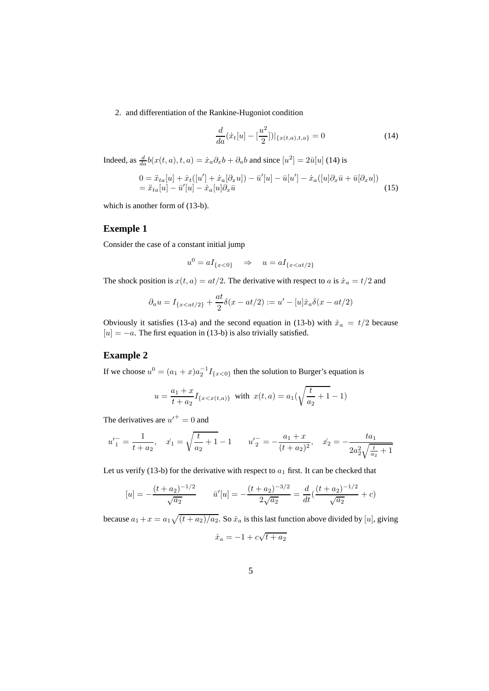2. and differentiation of the Rankine-Hugoniot condition

$$
\frac{d}{da}(\dot{x}_t[u] - \left[\frac{u^2}{2}\right])|_{\{x(t,a),t,a\}} = 0\tag{14}
$$

Indeed, as  $\frac{d}{da}b(x(t,a),t,a) = \dot{x}_a\partial_x b + \partial_a b$  and since  $[u^2] = 2\bar{u}[u]$  (14) is

$$
0 = \ddot{x}_{ta}[u] + \dot{x}_{t}([u'] + \dot{x}_{a}[\partial_{x}u]) - \bar{u}'[u] - \bar{u}[u'] - \dot{x}_{a}([u]\partial_{x}\bar{u} + \bar{u}[\partial_{x}u])
$$
  
=  $\ddot{x}_{ta}[u] - \bar{u}'[u] - \dot{x}_{a}[u]\partial_{x}\bar{u}$  (15)

which is another form of (13-b).

## **Exemple 1**

Consider the case of a constant initial jump

$$
u^0 = aI_{\{x<0\}} \quad \Rightarrow \quad u = aI_{\{x < at/2\}}
$$

The shock position is  $x(t, a) = at/2$ . The derivative with respect to a is  $\dot{x}_a = t/2$  and

$$
\partial_a u = I_{\{x < at/2\}} + \frac{at}{2}\delta(x - at/2) := u' - [u]\dot{x}_a\delta(x - at/2)
$$

Obviously it satisfies (13-a) and the second equation in (13-b) with  $\dot{x}_a = t/2$  because  $[u] = -a$ . The first equation in (13-b) is also trivially satisfied.

## **Example 2**

If we choose  $u^0 = (a_1 + x)a_2^{-1}I_{\{x < 0\}}$  then the solution to Burger's equation is

$$
u = \frac{a_1 + x}{t + a_2} I_{\{x < x(t, a)\}} \quad \text{with} \quad x(t, a) = a_1(\sqrt{\frac{t}{a_2} + 1} - 1)
$$

The derivatives are  $u'^{+} = 0$  and

$$
u'_{1} = \frac{1}{t + a_{2}}, \quad \dot{x}_{1} = \sqrt{\frac{t}{a_{2}} + 1} - 1 \qquad u'_{2} = -\frac{a_{1} + x}{(t + a_{2})^{2}}, \quad \dot{x}_{2} = -\frac{t a_{1}}{2 a_{2}^{2} \sqrt{\frac{t}{a_{2}} + 1}}
$$

Let us verify (13-b) for the derivative with respect to  $a_1$  first. It can be checked that

$$
[u] = -\frac{(t+a_2)^{-1/2}}{\sqrt{a_2}} \qquad \bar{u}'[u] = -\frac{(t+a_2)^{-3/2}}{2\sqrt{a_2}} = \frac{d}{dt}(\frac{(t+a_2)^{-1/2}}{\sqrt{a_2}} + c)
$$

because  $a_1 + x = a_1 \sqrt{(t + a_2)/a_2}$ . So  $\dot{x}_a$  is this last function above divided by [u], giving

$$
\dot{x}_a = -1 + c\sqrt{t + a_2}
$$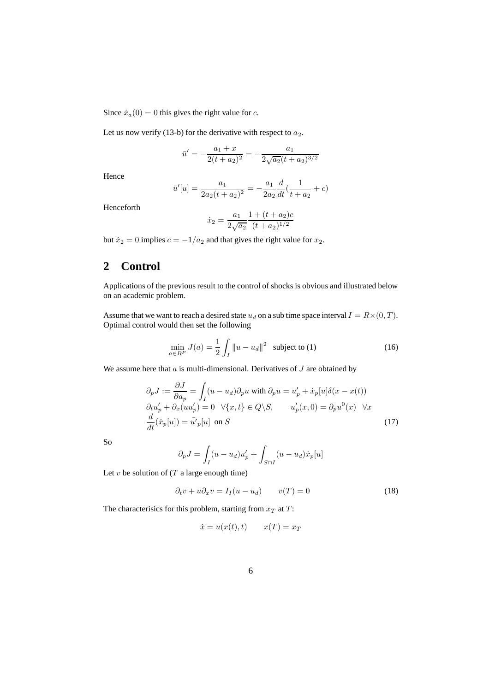Since  $\dot{x}_a(0) = 0$  this gives the right value for c.

Let us now verify (13-b) for the derivative with respect to  $a_2$ .

$$
\bar{u}'=-\frac{a_1+x}{2(t+a_2)^2}=-\frac{a_1}{2\sqrt{a_2}(t+a_2)^{3/2}}
$$

Hence

$$
\bar{u}'[u] = \frac{a_1}{2a_2(t + a_2)^2} = -\frac{a_1}{2a_2} \frac{d}{dt} \left(\frac{1}{t + a_2} + c\right)
$$

Henceforth

$$
\dot{x}_2 = \frac{a_1}{2\sqrt{a_2}} \frac{1 + (t + a_2)c}{(t + a_2)^{1/2}}
$$

but  $\dot{x}_2 = 0$  implies  $c = -1/a_2$  and that gives the right value for  $x_2$ .

# **2 Control**

Applications of the previous result to the control of shocks is obvious and illustrated below on an academic problem.

Assume that we want to reach a desired state  $u_d$  on a sub time space interval  $I = R \times (0, T)$ . Optimal control would then set the following

$$
\min_{a \in R^P} J(a) = \frac{1}{2} \int_I \|u - u_d\|^2 \text{ subject to (1)}
$$
 (16)

We assume here that  $a$  is multi-dimensional. Derivatives of  $J$  are obtained by

$$
\partial_p J := \frac{\partial J}{\partial a_p} = \int_I (u - u_d) \partial_p u \text{ with } \partial_p u = u'_p + \dot{x}_p[u] \delta(x - x(t))
$$
  
\n
$$
\partial_t u'_p + \partial_x (u u'_p) = 0 \quad \forall \{x, t\} \in Q \setminus S, \qquad u'_p(x, 0) = \partial_p u^0(x) \quad \forall x
$$
  
\n
$$
\frac{d}{dt} (\dot{x}_p[u]) = \bar{u'}_p[u] \text{ on } S
$$
\n(17)

So

$$
\partial_p J = \int_I (u - u_d) u'_p + \int_{S \cap I} (u - u_d) \dot{x}_p[u]
$$

Let v be solution of  $(T a large enough time)$ 

$$
\partial_t v + u \partial_x v = I_I (u - u_d) \qquad v(T) = 0 \tag{18}
$$

The characterisics for this problem, starting from  $x_T$  at  $T$ :

$$
\dot{x} = u(x(t), t) \qquad x(T) = x_T
$$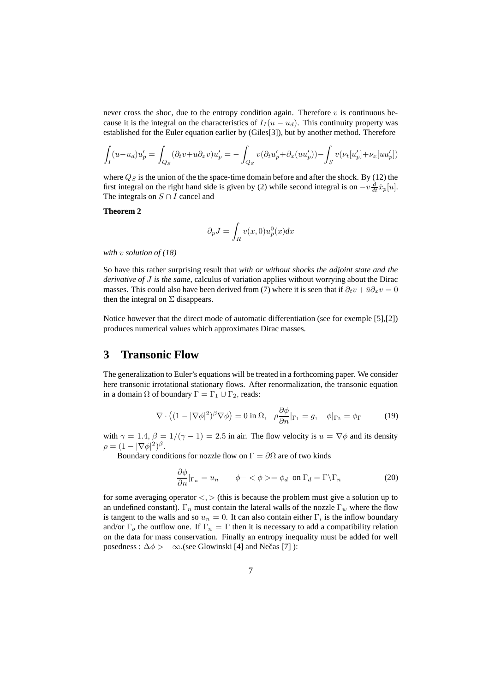never cross the shoc, due to the entropy condition again. Therefore  $v$  is continuous because it is the integral on the characteristics of  $I_I(u - u_d)$ . This continuity property was established for the Euler equation earlier by (Giles[3]), but by another method. Therefore

$$
\int_I (u - u_d) u'_p = \int_{Q_S} (\partial_t v + u \partial_x v) u'_p = - \int_{Q_S} v (\partial_t u'_p + \partial_x (u u'_p)) - \int_S v (\nu_t [u'_p] + \nu_x [u u'_p])
$$

where  $Q_S$  is the union of the the space-time domain before and after the shock. By (12) the first integral on the right hand side is given by (2) while second integral is on  $-v\frac{d}{dt}\dot{x}_p[u]$ . The integrals on  $S \cap I$  cancel and

### **Theorem 2**

$$
\partial_p J = \int_R v(x,0) u_p^0(x) dx
$$

*with* v *solution of (18)*

So have this rather surprising result that *with or without shocks the adjoint state and the derivative of* J *is the same*, calculus of variation applies without worrying about the Dirac masses. This could also have been derived from (7) where it is seen that if  $\partial_t v + \bar{u} \partial_x v = 0$ then the integral on  $\Sigma$  disappears.

Notice however that the direct mode of automatic differentiation (see for exemple [5],[2]) produces numerical values which approximates Dirac masses.

# **3 Transonic Flow**

The generalization to Euler's equations will be treated in a forthcoming paper. We consider here transonic irrotational stationary flows. After renormalization, the transonic equation in a domain  $\Omega$  of boundary  $\Gamma = \Gamma_1 \cup \Gamma_2$ , reads:

$$
\nabla \cdot \left( (1 - |\nabla \phi|^2)^{\beta} \nabla \phi \right) = 0 \text{ in } \Omega, \quad \rho \frac{\partial \phi}{\partial n}|_{\Gamma_1} = g, \quad \phi|_{\Gamma_2} = \phi_{\Gamma} \tag{19}
$$

with  $\gamma = 1.4$ ,  $\beta = 1/(\gamma - 1) = 2.5$  in air. The flow velocity is  $u = \nabla \phi$  and its density  $\rho = (1 - |\nabla \phi|^2)^{\beta}.$ 

Boundary conditions for nozzle flow on  $\Gamma = \partial \Omega$  are of two kinds

$$
\frac{\partial \phi}{\partial n}|_{\Gamma_n} = u_n \qquad \phi - \langle \phi \rangle = \phi_d \text{ on } \Gamma_d = \Gamma \backslash \Gamma_n \tag{20}
$$

for some averaging operator  $\langle \rangle$  (this is because the problem must give a solution up to an undefined constant).  $\Gamma_n$  must contain the lateral walls of the nozzle  $\Gamma_w$  where the flow is tangent to the walls and so  $u_n = 0$ . It can also contain either  $\Gamma_i$  is the inflow boundary and/or  $\Gamma_o$  the outflow one. If  $\Gamma_n = \Gamma$  then it is necessary to add a compatibility relation on the data for mass conservation. Finally an entropy inequality must be added for well posedness :  $\Delta \phi$  >  $-\infty$ .(see Glowinski [4] and Nečas [7] ):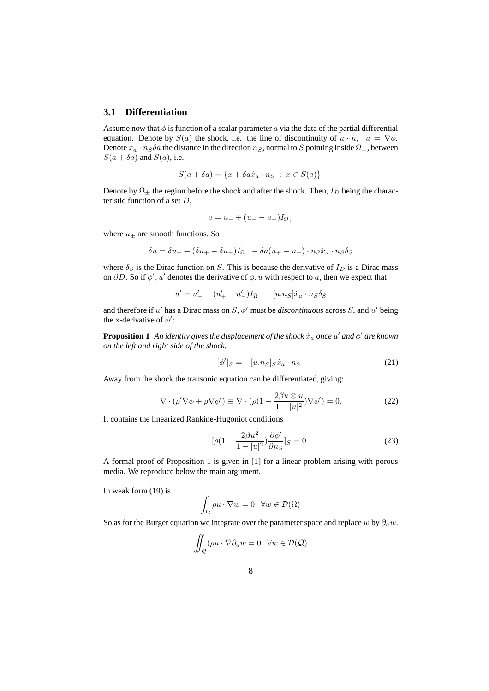### **3.1 Differentiation**

Assume now that  $\phi$  is function of a scalar parameter a via the data of the partial differential equation. Denote by  $S(a)$  the shock, i.e. the line of discontinuity of  $u \cdot n$ ,  $u = \nabla \phi$ . Denote  $\dot{x}_a \cdot n_S \delta a$  the distance in the direction  $n_S$ , normal to S pointing inside  $\Omega_+$ , between  $S(a + \delta a)$  and  $S(a)$ , i.e.

$$
S(a + \delta a) = \{x + \delta a \dot{x}_a \cdot n_S : x \in S(a)\}.
$$

Denote by  $\Omega_{\pm}$  the region before the shock and after the shock. Then,  $I_D$  being the characteristic function of a set D,

$$
u = u_- + (u_+ - u_-)I_{\Omega_+}
$$

where  $u_{\pm}$  are smooth functions. So

$$
\delta u = \delta u_- + (\delta u_+ - \delta u_-)I_{\Omega_+} - \delta a(u_+ - u_-) \cdot n_S \dot{x}_a \cdot n_S \delta_S
$$

where  $\delta_S$  is the Dirac function on S. This is because the derivative of  $I_D$  is a Dirac mass on  $\partial D$ . So if  $\phi'$ , u' denotes the derivative of  $\phi$ , u with respect to a, then we expect that

 $u' = u'_{-} + (u'_{+} - u'_{-})I_{\Omega_{+}} - [u.n_{S}]\dot{x}_{a} \cdot n_{S}\delta_{S}$ 

and therefore if  $u'$  has a Dirac mass on  $S$ ,  $\phi'$  must be *discontinuous* across S, and  $u'$  being the x-derivative of  $\phi'$ :

**Proposition 1** An identity gives the displacement of the shock  $\dot{x}_a$  once  $u'$  and  $\phi'$  are known *on the left and right side of the shock.*

$$
[\phi']_S = -[u.n_S]_S \dot{x}_a \cdot n_S \tag{21}
$$

Away from the shock the transonic equation can be differentiated, giving:

$$
\nabla \cdot (\rho' \nabla \phi + \rho \nabla \phi') \equiv \nabla \cdot (\rho (1 - \frac{2\beta u \otimes u}{1 - |u|^2}) \nabla \phi') = 0.
$$
 (22)

It contains the linearized Rankine-Hugoniot conditions

$$
[\rho(1 - \frac{2\beta u^2}{1 - |u|^2})\frac{\partial \phi'}{\partial n_S}]_S = 0
$$
\n(23)

A formal proof of Proposition 1 is given in [1] for a linear problem arising with porous media. We reproduce below the main argument.

In weak form (19) is

$$
\int_{\Omega} \rho u \cdot \nabla w = 0 \quad \forall w \in \mathcal{D}(\Omega)
$$

So as for the Burger equation we integrate over the parameter space and replace w by  $\partial_a w$ .

$$
\iint_{Q} (\rho u \cdot \nabla \partial_a w = 0 \quad \forall w \in \mathcal{D}(\mathcal{Q})
$$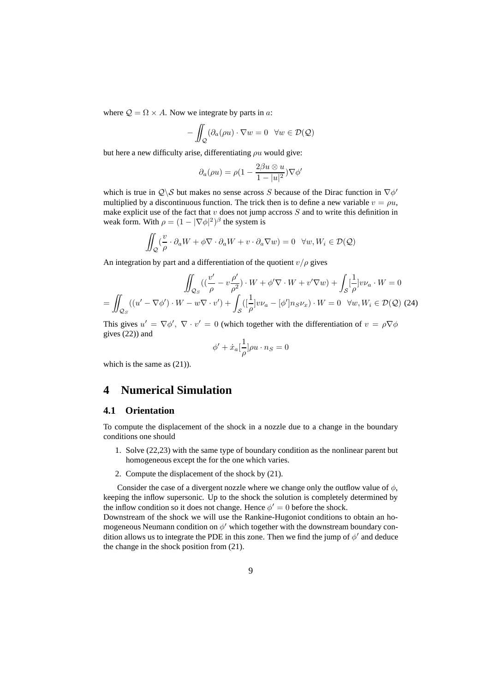where  $Q = \Omega \times A$ . Now we integrate by parts in a:

$$
-\iint_{\mathcal{Q}} (\partial_a(\rho u) \cdot \nabla w = 0 \quad \forall w \in \mathcal{D}(\mathcal{Q})
$$

but here a new difficulty arise, differentiating  $\rho u$  would give:

$$
\partial_a(\rho u) = \rho (1 - \frac{2\beta u \otimes u}{1 - |u|^2}) \nabla \phi'
$$

which is true in  $Q \setminus S$  but makes no sense across S because of the Dirac function in  $\nabla \phi'$ multiplied by a discontinuous function. The trick then is to define a new variable  $v = \rho u$ , make explicit use of the fact that  $v$  does not jump accross  $S$  and to write this definition in weak form. With  $\rho = (1 - |\nabla \phi|^2)^{\beta}$  the system is

$$
\iint_{Q} \left(\frac{v}{\rho} \cdot \partial_{a} W + \phi \nabla \cdot \partial_{a} W + v \cdot \partial_{a} \nabla w\right) = 0 \quad \forall w, W_{i} \in \mathcal{D}(\mathcal{Q})
$$

An integration by part and a differentiation of the quotient  $v/\rho$  gives

$$
\iint_{\mathcal{Q}_S} \left( \left( \frac{v'}{\rho} - v \frac{\rho'}{\rho^2} \right) \cdot W + \phi' \nabla \cdot W + v' \nabla w \right) + \int_S \left[ \frac{1}{\rho} \right] v \nu_a \cdot W = 0
$$

$$
= \iint_{\mathcal{Q}_S} \left( \left( u' - \nabla \phi' \right) \cdot W - w \nabla \cdot v' \right) + \int_S \left( \left[ \frac{1}{\rho} \right] v \nu_a - \left[ \phi' \right] n_S \nu_x \right) \cdot W = 0 \quad \forall w, W_i \in \mathcal{D}(\mathcal{Q}) \text{ (24)}
$$

This gives  $u' = \nabla \phi', \nabla \cdot v' = 0$  (which together with the differentiation of  $v = \rho \nabla \phi$ gives (22)) and

$$
\phi' + \dot{x}_a \left[\frac{1}{\rho}\right] \rho u \cdot n_S = 0
$$

which is the same as  $(21)$ ).

## **4 Numerical Simulation**

### **4.1 Orientation**

To compute the displacement of the shock in a nozzle due to a change in the boundary conditions one should

- 1. Solve (22,23) with the same type of boundary condition as the nonlinear parent but homogeneous except the for the one which varies.
- 2. Compute the displacement of the shock by (21).

Consider the case of a divergent nozzle where we change only the outflow value of  $\phi$ , keeping the inflow supersonic. Up to the shock the solution is completely determined by the inflow condition so it does not change. Hence  $\phi' = 0$  before the shock.

Downstream of the shock we will use the Rankine-Hugoniot conditions to obtain an homogeneous Neumann condition on  $\phi'$  which together with the downstream boundary condition allows us to integrate the PDE in this zone. Then we find the jump of  $\phi'$  and deduce the change in the shock position from (21).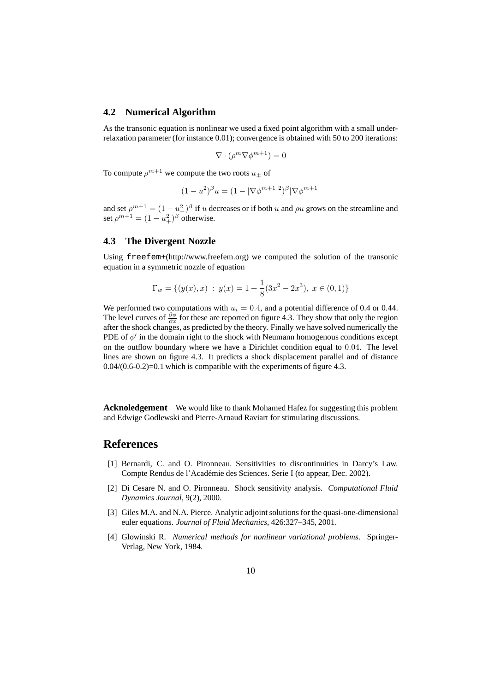### **4.2 Numerical Algorithm**

As the transonic equation is nonlinear we used a fixed point algorithm with a small underrelaxation parameter (for instance 0.01); convergence is obtained with 50 to 200 iterations:

$$
\nabla \cdot (\rho^m \nabla \phi^{m+1}) = 0
$$

To compute  $\rho^{m+1}$  we compute the two roots  $u_\pm$  of

$$
(1 - u^2)^{\beta} u = (1 - |\nabla \phi^{m+1}|^2)^{\beta} |\nabla \phi^{m+1}|
$$

and set  $\rho^{m+1} = (1 - u^2)^{\beta}$  if u decreases or if both u and  $\rho u$  grows on the streamline and set  $\rho^{m+1} = (1 - u_+^2)^\beta$  otherwise.

### **4.3 The Divergent Nozzle**

Using freefem+(http://www.freefem.org) we computed the solution of the transonic equation in a symmetric nozzle of equation

$$
\Gamma_w = \{ (y(x), x) : y(x) = 1 + \frac{1}{8}(3x^2 - 2x^3), x \in (0, 1) \}
$$

We performed two computations with  $u_i = 0.4$ , and a potential difference of 0.4 or 0.44. The level curves of  $\frac{\partial \phi}{\partial x}$  for these are reported on figure 4.3. They show that only the region after the shock changes, as predicted by the theory. Finally we have solved numerically the PDE of  $\phi'$  in the domain right to the shock with Neumann homogenous conditions except on the outflow boundary where we have a Dirichlet condition equal to 0.04. The level lines are shown on figure 4.3. It predicts a shock displacement parallel and of distance  $0.04/(0.6-0.2)=0.1$  which is compatible with the experiments of figure 4.3.

**Acknoledgement** We would like to thank Mohamed Hafez for suggesting this problem and Edwige Godlewski and Pierre-Arnaud Raviart for stimulating discussions.

# **References**

- [1] Bernardi, C. and O. Pironneau. Sensitivities to discontinuities in Darcy's Law. Compte Rendus de l'Académie des Sciences. Serie I (to appear, Dec. 2002).
- [2] Di Cesare N. and O. Pironneau. Shock sensitivity analysis. *Computational Fluid Dynamics Journal*, 9(2), 2000.
- [3] Giles M.A. and N.A. Pierce. Analytic adjoint solutions for the quasi-one-dimensional euler equations. *Journal of Fluid Mechanics*, 426:327–345, 2001.
- [4] Glowinski R. *Numerical methods for nonlinear variational problems*. Springer-Verlag, New York, 1984.